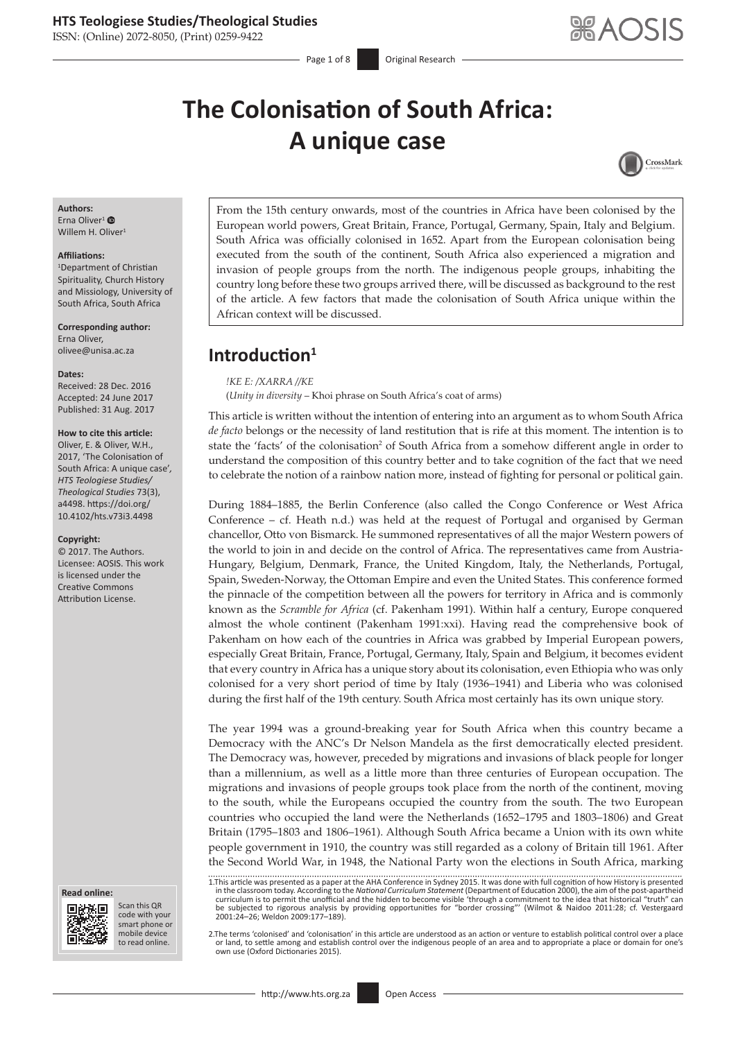ISSN: (Online) 2072-8050, (Print) 0259-9422

Page 1 of 8 **Original Research** 

# **The Colonisation of South Africa: A unique case**



## **Authors:**

Erna Oliver<sup>1</sup> $\bullet$ Willem H. Oliver<sup>1</sup>

#### **Affiliations:**

1 Department of Christian Spirituality, Church History and Missiology, University of South Africa, South Africa

**Corresponding author:** Erna Oliver, [olivee@unisa.ac.za](mailto:olivee@unisa.ac.za)

#### **Dates:**

Received: 28 Dec. 2016 Accepted: 24 June 2017 Published: 31 Aug. 2017

#### **How to cite this article:**

Oliver, E. & Oliver, W.H., 2017, 'The Colonisation of South Africa: A unique case'*, HTS Teologiese Studies/ Theological Studies* 73(3), a4498. [https://doi.org/](https://doi.org/10.4102/hts.v73i3.4498) [10.4102/hts.v73i3.4498](https://doi.org/10.4102/hts.v73i3.4498)

#### **Copyright:**

© 2017. The Authors. Licensee: AOSIS. This work is licensed under the Creative Commons Attribution License.

#### **Read online: Read**



Scan this QR code with your Scan this QR<br>code with your<br>smart phone or<br>mobile device mobile device to read online. to read online.

From the 15th century onwards, most of the countries in Africa have been colonised by the European world powers, Great Britain, France, Portugal, Germany, Spain, Italy and Belgium. South Africa was officially colonised in 1652. Apart from the European colonisation being executed from the south of the continent, South Africa also experienced a migration and invasion of people groups from the north. The indigenous people groups, inhabiting the country long before these two groups arrived there, will be discussed as background to the rest of the article. A few factors that made the colonisation of South Africa unique within the African context will be discussed.

# **Introduction<sup>1</sup>**

*!KE E: /XARRA //KE*

(*Unity in diversity* – Khoi phrase on South Africa's coat of arms)

This article is written without the intention of entering into an argument as to whom South Africa *de facto* belongs or the necessity of land restitution that is rife at this moment. The intention is to state the 'facts' of the colonisation<sup>2</sup> of South Africa from a somehow different angle in order to understand the composition of this country better and to take cognition of the fact that we need to celebrate the notion of a rainbow nation more, instead of fighting for personal or political gain.

During 1884–1885, the Berlin Conference (also called the Congo Conference or West Africa Conference – cf. Heath n.d.) was held at the request of Portugal and organised by German chancellor, Otto von Bismarck. He summoned representatives of all the major Western powers of the world to join in and decide on the control of Africa. The representatives came from Austria-Hungary, Belgium, Denmark, France, the United Kingdom, Italy, the Netherlands, Portugal, Spain, Sweden-Norway, the Ottoman Empire and even the United States. This conference formed the pinnacle of the competition between all the powers for territory in Africa and is commonly known as the *Scramble for Africa* (cf. Pakenham 1991). Within half a century, Europe conquered almost the whole continent (Pakenham 1991:xxi). Having read the comprehensive book of Pakenham on how each of the countries in Africa was grabbed by Imperial European powers, especially Great Britain, France, Portugal, Germany, Italy, Spain and Belgium, it becomes evident that every country in Africa has a unique story about its colonisation, even Ethiopia who was only colonised for a very short period of time by Italy (1936–1941) and Liberia who was colonised during the first half of the 19th century. South Africa most certainly has its own unique story.

The year 1994 was a ground-breaking year for South Africa when this country became a Democracy with the ANC's Dr Nelson Mandela as the first democratically elected president. The Democracy was, however, preceded by migrations and invasions of black people for longer than a millennium, as well as a little more than three centuries of European occupation. The migrations and invasions of people groups took place from the north of the continent, moving to the south, while the Europeans occupied the country from the south. The two European countries who occupied the land were the Netherlands (1652–1795 and 1803–1806) and Great Britain (1795–1803 and 1806–1961). Although South Africa became a Union with its own white people government in 1910, the country was still regarded as a colony of Britain till 1961. After the Second World War, in 1948, the National Party won the elections in South Africa, marking

1.This article was presented as a paper at the AHA Conference in Sydney 2015. It was done with full cognition of how History is presented. In the classroom today. Are the Dast-apartheid<br>in the classroom today. According to be subjected to rigorous analysis by providing opportunities for "border crossing"' (Wilmot & Naidoo 2011:28; cf. Vestergaard 2001:24–26; Weldon 2009:177–189).

2.The terms 'colonised' and 'colonisation' in this article are understood as an action or venture to establish political control over a place or land, to settle among and establish control over the indigenous people of an area and to appropriate a place or domain for one's own use (Oxford Dictionaries 2015).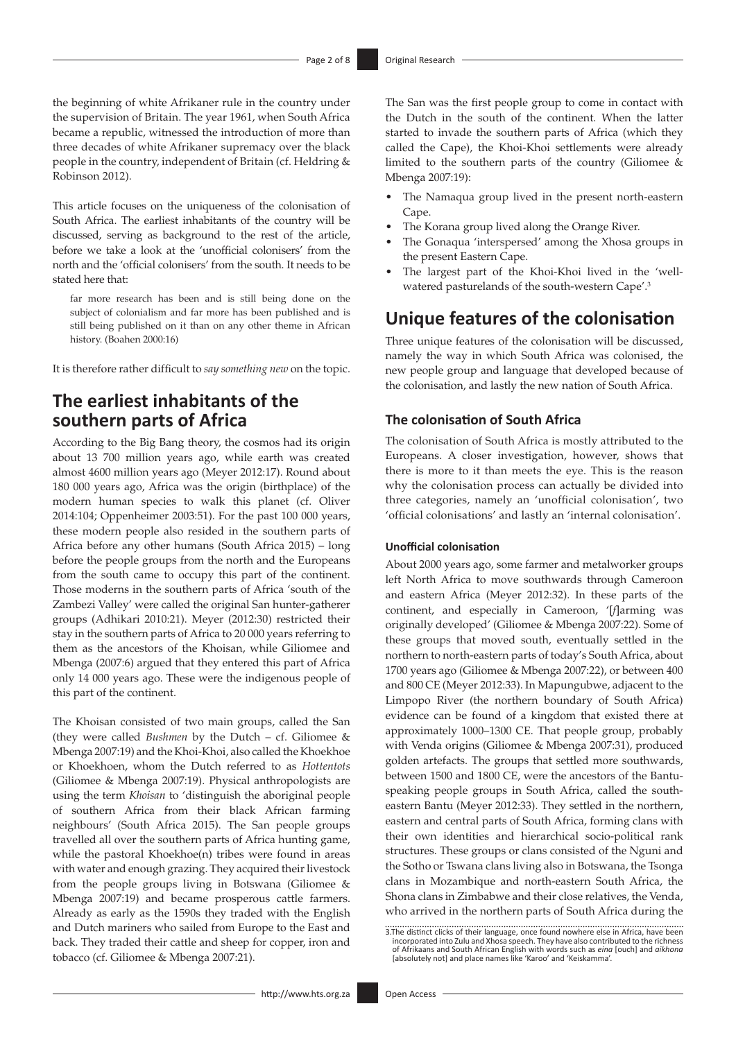the beginning of white Afrikaner rule in the country under the supervision of Britain. The year 1961, when South Africa became a republic, witnessed the introduction of more than three decades of white Afrikaner supremacy over the black people in the country, independent of Britain (cf. Heldring & Robinson 2012).

This article focuses on the uniqueness of the colonisation of South Africa. The earliest inhabitants of the country will be discussed, serving as background to the rest of the article, before we take a look at the 'unofficial colonisers' from the north and the 'official colonisers' from the south. It needs to be stated here that:

far more research has been and is still being done on the subject of colonialism and far more has been published and is still being published on it than on any other theme in African history. (Boahen 2000:16)

It is therefore rather difficult to *say something new* on the topic.

# **The earliest inhabitants of the southern parts of Africa**

According to the Big Bang theory, the cosmos had its origin about 13 700 million years ago, while earth was created almost 4600 million years ago (Meyer 2012:17). Round about 180 000 years ago, Africa was the origin (birthplace) of the modern human species to walk this planet (cf. Oliver 2014:104; Oppenheimer 2003:51). For the past 100 000 years, these modern people also resided in the southern parts of Africa before any other humans (South Africa 2015) – long before the people groups from the north and the Europeans from the south came to occupy this part of the continent. Those moderns in the southern parts of Africa 'south of the Zambezi Valley' were called the original San hunter-gatherer groups (Adhikari 2010:21). Meyer (2012:30) restricted their stay in the southern parts of Africa to 20 000 years referring to them as the ancestors of the Khoisan, while Giliomee and Mbenga (2007:6) argued that they entered this part of Africa only 14 000 years ago. These were the indigenous people of this part of the continent.

The Khoisan consisted of two main groups, called the San (they were called *Bushmen* by the Dutch – cf. Giliomee & Mbenga 2007:19) and the Khoi-Khoi, also called the Khoekhoe or Khoekhoen, whom the Dutch referred to as *Hottentots* (Giliomee & Mbenga 2007:19). Physical anthropologists are using the term *Khoisan* to 'distinguish the aboriginal people of southern Africa from their black African farming neighbours' (South Africa 2015). The San people groups travelled all over the southern parts of Africa hunting game, while the pastoral Khoekhoe(n) tribes were found in areas with water and enough grazing. They acquired their livestock from the people groups living in Botswana (Giliomee & Mbenga 2007:19) and became prosperous cattle farmers. Already as early as the 1590s they traded with the English and Dutch mariners who sailed from Europe to the East and back. They traded their cattle and sheep for copper, iron and tobacco (cf. Giliomee & Mbenga 2007:21).

The San was the first people group to come in contact with the Dutch in the south of the continent. When the latter started to invade the southern parts of Africa (which they called the Cape), the Khoi-Khoi settlements were already limited to the southern parts of the country (Giliomee  $\&$ Mbenga 2007:19):

- The Namaqua group lived in the present north-eastern Cape.
- The Korana group lived along the Orange River.
- The Gonaqua 'interspersed' among the Xhosa groups in the present Eastern Cape.
- The largest part of the Khoi-Khoi lived in the 'wellwatered pasturelands of the south-western Cape'.3

# **Unique features of the colonisation**

Three unique features of the colonisation will be discussed, namely the way in which South Africa was colonised, the new people group and language that developed because of the colonisation, and lastly the new nation of South Africa.

### **The colonisation of South Africa**

The colonisation of South Africa is mostly attributed to the Europeans. A closer investigation, however, shows that there is more to it than meets the eye. This is the reason why the colonisation process can actually be divided into three categories, namely an 'unofficial colonisation', two 'official colonisations' and lastly an 'internal colonisation'.

#### **Unofficial colonisation**

About 2000 years ago, some farmer and metalworker groups left North Africa to move southwards through Cameroon and eastern Africa (Meyer 2012:32). In these parts of the continent, and especially in Cameroon, '[*f*]arming was originally developed' (Giliomee & Mbenga 2007:22). Some of these groups that moved south, eventually settled in the northern to north-eastern parts of today's South Africa, about 1700 years ago (Giliomee & Mbenga 2007:22), or between 400 and 800 CE (Meyer 2012:33). In Mapungubwe, adjacent to the Limpopo River (the northern boundary of South Africa) evidence can be found of a kingdom that existed there at approximately 1000–1300 CE. That people group, probably with Venda origins (Giliomee & Mbenga 2007:31), produced golden artefacts. The groups that settled more southwards, between 1500 and 1800 CE, were the ancestors of the Bantuspeaking people groups in South Africa, called the southeastern Bantu (Meyer 2012:33). They settled in the northern, eastern and central parts of South Africa, forming clans with their own identities and hierarchical socio-political rank structures. These groups or clans consisted of the Nguni and the Sotho or Tswana clans living also in Botswana, the Tsonga clans in Mozambique and north-eastern South Africa, the Shona clans in Zimbabwe and their close relatives, the Venda, who arrived in the northern parts of South Africa during the

<sup>3.</sup> The distinct clicks of their language, once found nowhere else in Africa, have been<br>incorporated into Zulu and Xhosa speech. They have also contributed to the richness<br>of Afrikaans and South African English with words s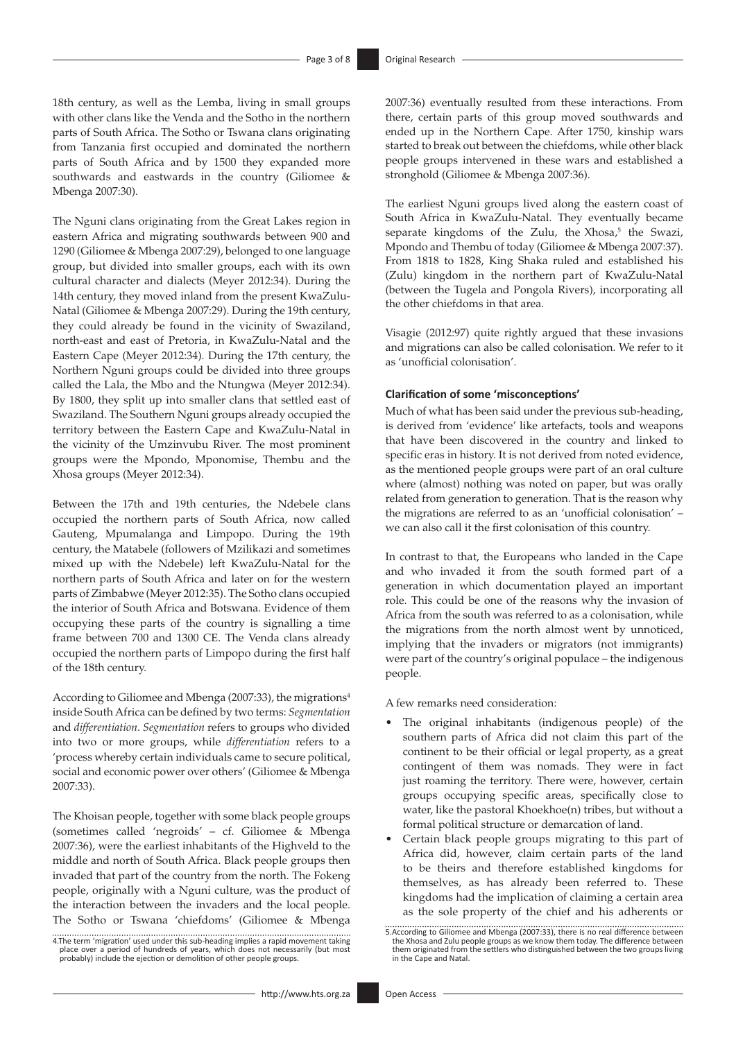18th century, as well as the Lemba, living in small groups with other clans like the Venda and the Sotho in the northern parts of South Africa. The Sotho or Tswana clans originating from Tanzania first occupied and dominated the northern parts of South Africa and by 1500 they expanded more southwards and eastwards in the country (Giliomee & Mbenga 2007:30).

The Nguni clans originating from the Great Lakes region in eastern Africa and migrating southwards between 900 and 1290 (Giliomee & Mbenga 2007:29), belonged to one language group, but divided into smaller groups, each with its own cultural character and dialects (Meyer 2012:34). During the 14th century, they moved inland from the present KwaZulu-Natal (Giliomee & Mbenga 2007:29). During the 19th century, they could already be found in the vicinity of Swaziland, north-east and east of Pretoria, in KwaZulu-Natal and the Eastern Cape (Meyer 2012:34). During the 17th century, the Northern Nguni groups could be divided into three groups called the Lala, the Mbo and the Ntungwa (Meyer 2012:34). By 1800, they split up into smaller clans that settled east of Swaziland. The Southern Nguni groups already occupied the territory between the Eastern Cape and KwaZulu-Natal in the vicinity of the Umzinvubu River. The most prominent groups were the Mpondo, Mponomise, Thembu and the Xhosa groups (Meyer 2012:34).

Between the 17th and 19th centuries, the Ndebele clans occupied the northern parts of South Africa, now called Gauteng, Mpumalanga and Limpopo. During the 19th century, the Matabele (followers of Mzilikazi and sometimes mixed up with the Ndebele) left KwaZulu-Natal for the northern parts of South Africa and later on for the western parts of Zimbabwe (Meyer 2012:35). The Sotho clans occupied the interior of South Africa and Botswana. Evidence of them occupying these parts of the country is signalling a time frame between 700 and 1300 CE. The Venda clans already occupied the northern parts of Limpopo during the first half of the 18th century.

According to Giliomee and Mbenga (2007:33), the migrations<sup>4</sup> inside South Africa can be defined by two terms: *Segmentation* and *differentiation*. *Segmentation* refers to groups who divided into two or more groups, while *differentiation* refers to a 'process whereby certain individuals came to secure political, social and economic power over others' (Giliomee & Mbenga 2007:33).

The Khoisan people, together with some black people groups (sometimes called 'negroids' – cf. Giliomee & Mbenga 2007:36), were the earliest inhabitants of the Highveld to the middle and north of South Africa. Black people groups then invaded that part of the country from the north. The Fokeng people, originally with a Nguni culture, was the product of the interaction between the invaders and the local people. The Sotho or Tswana 'chiefdoms' (Giliomee & Mbenga

4.The term 'migration' used under this sub-heading implies a rapid movement taking place over a period of hundreds of years, which does not necessarily (but most probably) include the ejection or demolition of other people groups.

2007:36) eventually resulted from these interactions. From there, certain parts of this group moved southwards and ended up in the Northern Cape. After 1750, kinship wars started to break out between the chiefdoms, while other black people groups intervened in these wars and established a stronghold (Giliomee & Mbenga 2007:36).

The earliest Nguni groups lived along the eastern coast of South Africa in KwaZulu-Natal. They eventually became separate kingdoms of the Zulu, the Xhosa, $5$  the Swazi, Mpondo and Thembu of today (Giliomee & Mbenga 2007:37). From 1818 to 1828, King Shaka ruled and established his (Zulu) kingdom in the northern part of KwaZulu-Natal (between the Tugela and Pongola Rivers), incorporating all the other chiefdoms in that area.

Visagie (2012:97) quite rightly argued that these invasions and migrations can also be called colonisation. We refer to it as 'unofficial colonisation'.

#### **Clarification of some 'misconceptions'**

Much of what has been said under the previous sub-heading, is derived from 'evidence' like artefacts, tools and weapons that have been discovered in the country and linked to specific eras in history. It is not derived from noted evidence, as the mentioned people groups were part of an oral culture where (almost) nothing was noted on paper, but was orally related from generation to generation. That is the reason why the migrations are referred to as an 'unofficial colonisation' – we can also call it the first colonisation of this country.

In contrast to that, the Europeans who landed in the Cape and who invaded it from the south formed part of a generation in which documentation played an important role. This could be one of the reasons why the invasion of Africa from the south was referred to as a colonisation, while the migrations from the north almost went by unnoticed, implying that the invaders or migrators (not immigrants) were part of the country's original populace – the indigenous people.

A few remarks need consideration:

- The original inhabitants (indigenous people) of the southern parts of Africa did not claim this part of the continent to be their official or legal property, as a great contingent of them was nomads. They were in fact just roaming the territory. There were, however, certain groups occupying specific areas, specifically close to water, like the pastoral Khoekhoe(n) tribes, but without a formal political structure or demarcation of land.
- Certain black people groups migrating to this part of Africa did, however, claim certain parts of the land to be theirs and therefore established kingdoms for themselves, as has already been referred to. These kingdoms had the implication of claiming a certain area as the sole property of the chief and his adherents or

<sup>5.</sup>According to Giliomee and Mbenga (2007:33), there is no real difference between the Xhosa and Zulu people groups as we know them today. The difference between them originated from the settlers who distinguished between the two groups living in the Cape and Natal.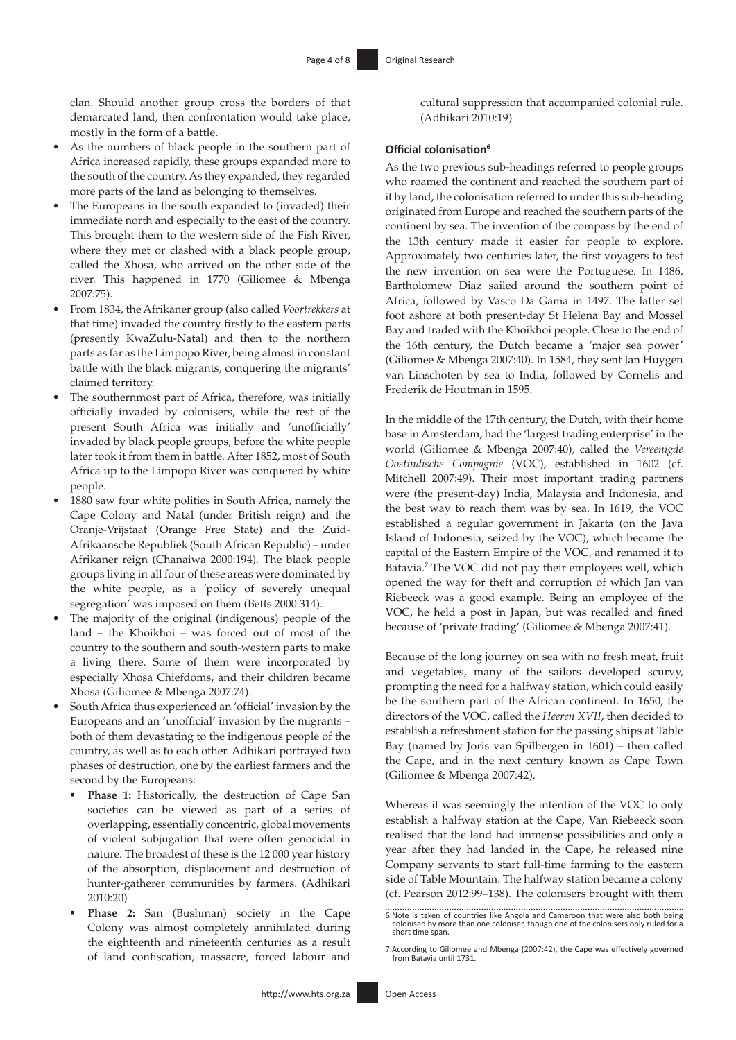clan. Should another group cross the borders of that demarcated land, then confrontation would take place, mostly in the form of a battle.

- As the numbers of black people in the southern part of Africa increased rapidly, these groups expanded more to the south of the country. As they expanded, they regarded more parts of the land as belonging to themselves.
- The Europeans in the south expanded to (invaded) their immediate north and especially to the east of the country. This brought them to the western side of the Fish River, where they met or clashed with a black people group, called the Xhosa, who arrived on the other side of the river. This happened in 1770 (Giliomee & Mbenga 2007:75).
- From 1834, the Afrikaner group (also called *Voortrekkers* at that time) invaded the country firstly to the eastern parts (presently KwaZulu-Natal) and then to the northern parts as far as the Limpopo River, being almost in constant battle with the black migrants, conquering the migrants' claimed territory.
- The southernmost part of Africa, therefore, was initially officially invaded by colonisers, while the rest of the present South Africa was initially and 'unofficially' invaded by black people groups, before the white people later took it from them in battle. After 1852, most of South Africa up to the Limpopo River was conquered by white people.
- 1880 saw four white polities in South Africa, namely the Cape Colony and Natal (under British reign) and the Oranje-Vrijstaat (Orange Free State) and the Zuid-Afrikaansche Republiek (South African Republic) – under Afrikaner reign (Chanaiwa 2000:194). The black people groups living in all four of these areas were dominated by the white people, as a 'policy of severely unequal segregation' was imposed on them (Betts 2000:314).
- The majority of the original (indigenous) people of the land – the Khoikhoi – was forced out of most of the country to the southern and south-western parts to make a living there. Some of them were incorporated by especially Xhosa Chiefdoms, and their children became Xhosa (Giliomee & Mbenga 2007:74).
- South Africa thus experienced an 'official' invasion by the Europeans and an 'unofficial' invasion by the migrants – both of them devastating to the indigenous people of the country, as well as to each other. Adhikari portrayed two phases of destruction, one by the earliest farmers and the second by the Europeans:
	- Phase 1: Historically, the destruction of Cape San societies can be viewed as part of a series of overlapping, essentially concentric, global movements of violent subjugation that were often genocidal in nature. The broadest of these is the 12 000 year history of the absorption, displacement and destruction of hunter-gatherer communities by farmers. (Adhikari 2010:20)
	- Phase 2: San (Bushman) society in the Cape Colony was almost completely annihilated during the eighteenth and nineteenth centuries as a result of land confiscation, massacre, forced labour and

cultural suppression that accompanied colonial rule. (Adhikari 2010:19)

#### **Official colonisation<sup>6</sup>**

As the two previous sub-headings referred to people groups who roamed the continent and reached the southern part of it by land, the colonisation referred to under this sub-heading originated from Europe and reached the southern parts of the continent by sea. The invention of the compass by the end of the 13th century made it easier for people to explore. Approximately two centuries later, the first voyagers to test the new invention on sea were the Portuguese. In 1486, Bartholomew Diaz sailed around the southern point of Africa, followed by Vasco Da Gama in 1497. The latter set foot ashore at both present-day St Helena Bay and Mossel Bay and traded with the Khoikhoi people. Close to the end of the 16th century, the Dutch became a 'major sea power' (Giliomee & Mbenga 2007:40). In 1584, they sent Jan Huygen van Linschoten by sea to India, followed by Cornelis and Frederik de Houtman in 1595.

In the middle of the 17th century, the Dutch, with their home base in Amsterdam, had the 'largest trading enterprise' in the world (Giliomee & Mbenga 2007:40), called the *Vereenigde Oostindische Compagnie* (VOC), established in 1602 (cf. Mitchell 2007:49). Their most important trading partners were (the present-day) India, Malaysia and Indonesia, and the best way to reach them was by sea. In 1619, the VOC established a regular government in Jakarta (on the Java Island of Indonesia, seized by the VOC), which became the capital of the Eastern Empire of the VOC, and renamed it to Batavia.<sup>7</sup> The VOC did not pay their employees well, which opened the way for theft and corruption of which Jan van Riebeeck was a good example. Being an employee of the VOC, he held a post in Japan, but was recalled and fined because of 'private trading' (Giliomee & Mbenga 2007:41).

Because of the long journey on sea with no fresh meat, fruit and vegetables, many of the sailors developed scurvy, prompting the need for a halfway station, which could easily be the southern part of the African continent. In 1650, the directors of the VOC, called the *Heeren XVII*, then decided to establish a refreshment station for the passing ships at Table Bay (named by Joris van Spilbergen in 1601) – then called the Cape, and in the next century known as Cape Town (Giliomee & Mbenga 2007:42).

Whereas it was seemingly the intention of the VOC to only establish a halfway station at the Cape, Van Riebeeck soon realised that the land had immense possibilities and only a year after they had landed in the Cape, he released nine Company servants to start full-time farming to the eastern side of Table Mountain. The halfway station became a colony (cf. Pearson 2012:99–138). The colonisers brought with them

<sup>6.</sup>Note is taken of countries like Angola and Cameroon that were also both being colonised by more than one coloniser, though one of the colonisers only ruled for a short time span.

<sup>7.</sup>According to Giliomee and Mbenga (2007:42), the Cape was effectively governed from Batavia until 1731.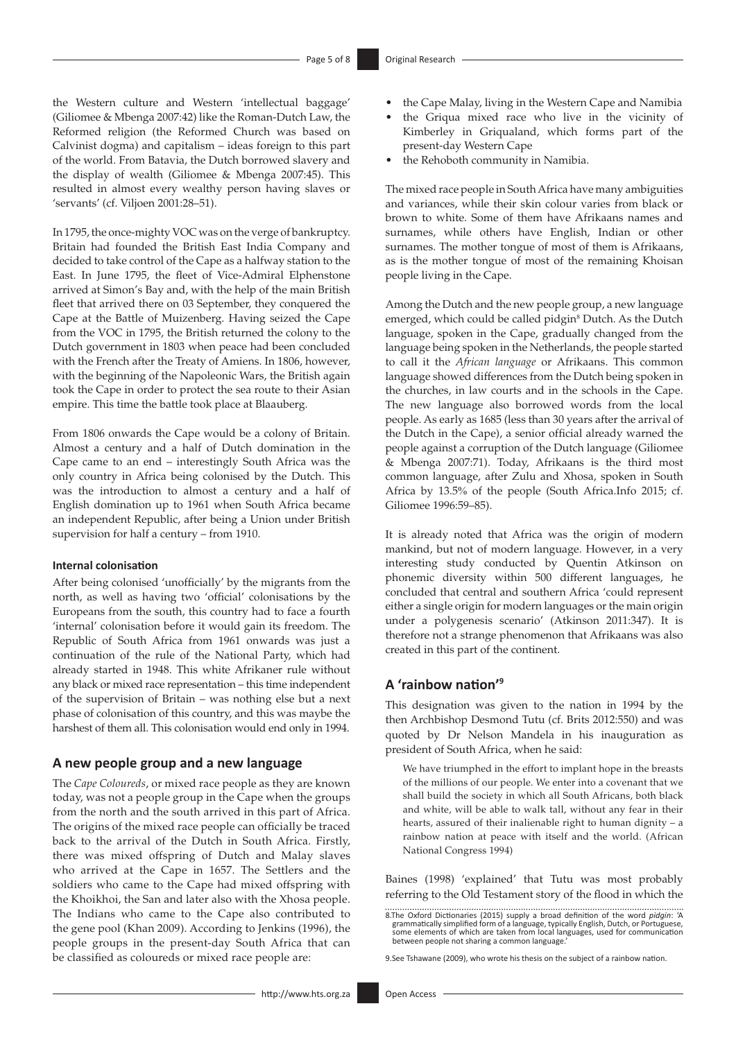the Western culture and Western 'intellectual baggage' (Giliomee & Mbenga 2007:42) like the Roman-Dutch Law, the Reformed religion (the Reformed Church was based on Calvinist dogma) and capitalism – ideas foreign to this part of the world. From Batavia, the Dutch borrowed slavery and the display of wealth (Giliomee & Mbenga 2007:45). This resulted in almost every wealthy person having slaves or 'servants' (cf. Viljoen 2001:28–51).

In 1795, the once-mighty VOC was on the verge of bankruptcy. Britain had founded the British East India Company and decided to take control of the Cape as a halfway station to the East. In June 1795, the fleet of Vice-Admiral Elphenstone arrived at Simon's Bay and, with the help of the main British fleet that arrived there on 03 September, they conquered the Cape at the Battle of Muizenberg. Having seized the Cape from the VOC in 1795, the British returned the colony to the Dutch government in 1803 when peace had been concluded with the French after the Treaty of Amiens. In 1806, however, with the beginning of the Napoleonic Wars, the British again took the Cape in order to protect the sea route to their Asian empire. This time the battle took place at Blaauberg.

From 1806 onwards the Cape would be a colony of Britain. Almost a century and a half of Dutch domination in the Cape came to an end – interestingly South Africa was the only country in Africa being colonised by the Dutch. This was the introduction to almost a century and a half of English domination up to 1961 when South Africa became an independent Republic, after being a Union under British supervision for half a century – from 1910.

#### **Internal colonisation**

After being colonised 'unofficially' by the migrants from the north, as well as having two 'official' colonisations by the Europeans from the south, this country had to face a fourth 'internal' colonisation before it would gain its freedom. The Republic of South Africa from 1961 onwards was just a continuation of the rule of the National Party, which had already started in 1948. This white Afrikaner rule without any black or mixed race representation – this time independent of the supervision of Britain – was nothing else but a next phase of colonisation of this country, and this was maybe the harshest of them all. This colonisation would end only in 1994.

### **A new people group and a new language**

The *Cape Coloureds*, or mixed race people as they are known today, was not a people group in the Cape when the groups from the north and the south arrived in this part of Africa. The origins of the mixed race people can officially be traced back to the arrival of the Dutch in South Africa. Firstly, there was mixed offspring of Dutch and Malay slaves who arrived at the Cape in 1657. The Settlers and the soldiers who came to the Cape had mixed offspring with the Khoikhoi, the San and later also with the Xhosa people. The Indians who came to the Cape also contributed to the gene pool (Khan 2009). According to Jenkins (1996), the people groups in the present-day South Africa that can be classified as coloureds or mixed race people are:

- the Cape Malay, living in the Western Cape and Namibia
- the Griqua mixed race who live in the vicinity of Kimberley in Griqualand, which forms part of the present-day Western Cape
- the Rehoboth community in Namibia.

The mixed race people in South Africa have many ambiguities and variances, while their skin colour varies from black or brown to white. Some of them have Afrikaans names and surnames, while others have English, Indian or other surnames. The mother tongue of most of them is Afrikaans, as is the mother tongue of most of the remaining Khoisan people living in the Cape.

Among the Dutch and the new people group, a new language emerged, which could be called pidgin<sup>8</sup> Dutch. As the Dutch language, spoken in the Cape, gradually changed from the language being spoken in the Netherlands, the people started to call it the *African language* or Afrikaans. This common language showed differences from the Dutch being spoken in the churches, in law courts and in the schools in the Cape. The new language also borrowed words from the local people. As early as 1685 (less than 30 years after the arrival of the Dutch in the Cape), a senior official already warned the people against a corruption of the Dutch language (Giliomee & Mbenga 2007:71). Today, Afrikaans is the third most common language, after Zulu and Xhosa, spoken in South Africa by 13.5% of the people (South Africa.Info 2015; cf. Giliomee 1996:59–85).

It is already noted that Africa was the origin of modern mankind, but not of modern language. However, in a very interesting study conducted by Quentin Atkinson on phonemic diversity within 500 different languages, he concluded that central and southern Africa 'could represent either a single origin for modern languages or the main origin under a polygenesis scenario' (Atkinson 2011:347). It is therefore not a strange phenomenon that Afrikaans was also created in this part of the continent.

### **A 'rainbow nation'<sup>9</sup>**

This designation was given to the nation in 1994 by the then Archbishop Desmond Tutu (cf. Brits 2012:550) and was quoted by Dr Nelson Mandela in his inauguration as president of South Africa, when he said:

We have triumphed in the effort to implant hope in the breasts of the millions of our people. We enter into a covenant that we shall build the society in which all South Africans, both black and white, will be able to walk tall, without any fear in their hearts, assured of their inalienable right to human dignity – a rainbow nation at peace with itself and the world. (African National Congress 1994)

Baines (1998) 'explained' that Tutu was most probably referring to the Old Testament story of the flood in which the

9.See Tshawane (2009), who wrote his thesis on the subject of a rainbow nation.

<sup>8.</sup>The Oxford Dictionaries (2015) supply a broad definition of the word *pidgin*: 'A grammatically simplified form of a language, typically English, Dutch, or Portuguese, some elements of which are taken from local languages, used for communication between people not sharing a common language.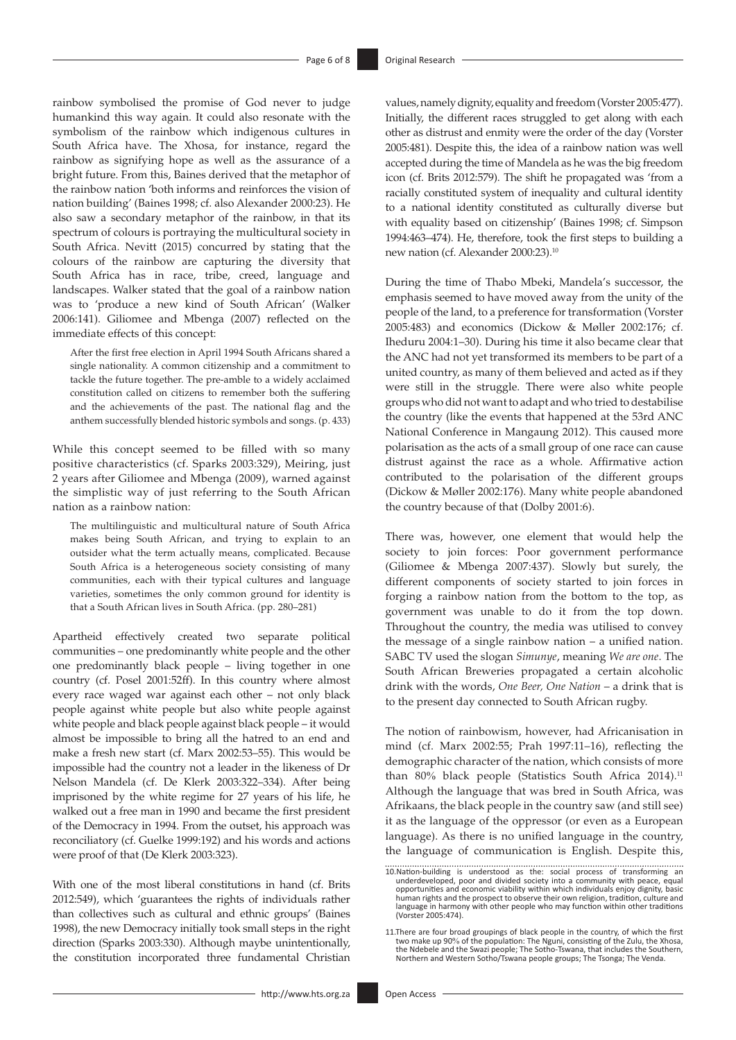rainbow symbolised the promise of God never to judge humankind this way again. It could also resonate with the symbolism of the rainbow which indigenous cultures in South Africa have. The Xhosa, for instance, regard the rainbow as signifying hope as well as the assurance of a bright future. From this, Baines derived that the metaphor of the rainbow nation 'both informs and reinforces the vision of nation building' (Baines 1998; cf. also Alexander 2000:23). He also saw a secondary metaphor of the rainbow, in that its spectrum of colours is portraying the multicultural society in South Africa. Nevitt (2015) concurred by stating that the colours of the rainbow are capturing the diversity that South Africa has in race, tribe, creed, language and landscapes. Walker stated that the goal of a rainbow nation was to 'produce a new kind of South African' (Walker 2006:141). Giliomee and Mbenga (2007) reflected on the immediate effects of this concept:

After the first free election in April 1994 South Africans shared a single nationality. A common citizenship and a commitment to tackle the future together. The pre-amble to a widely acclaimed constitution called on citizens to remember both the suffering and the achievements of the past. The national flag and the anthem successfully blended historic symbols and songs. (p. 433)

While this concept seemed to be filled with so many positive characteristics (cf. Sparks 2003:329), Meiring, just 2 years after Giliomee and Mbenga (2009), warned against the simplistic way of just referring to the South African nation as a rainbow nation:

The multilinguistic and multicultural nature of South Africa makes being South African, and trying to explain to an outsider what the term actually means, complicated. Because South Africa is a heterogeneous society consisting of many communities, each with their typical cultures and language varieties, sometimes the only common ground for identity is that a South African lives in South Africa. (pp. 280–281)

Apartheid effectively created two separate political communities – one predominantly white people and the other one predominantly black people – living together in one country (cf. Posel 2001:52ff). In this country where almost every race waged war against each other – not only black people against white people but also white people against white people and black people against black people – it would almost be impossible to bring all the hatred to an end and make a fresh new start (cf. Marx 2002:53–55). This would be impossible had the country not a leader in the likeness of Dr Nelson Mandela (cf. De Klerk 2003:322–334). After being imprisoned by the white regime for 27 years of his life, he walked out a free man in 1990 and became the first president of the Democracy in 1994. From the outset, his approach was reconciliatory (cf. Guelke 1999:192) and his words and actions were proof of that (De Klerk 2003:323).

With one of the most liberal constitutions in hand (cf. Brits 2012:549), which 'guarantees the rights of individuals rather than collectives such as cultural and ethnic groups' (Baines 1998), the new Democracy initially took small steps in the right direction (Sparks 2003:330). Although maybe unintentionally, the constitution incorporated three fundamental Christian

values, namely dignity, equality and freedom (Vorster 2005:477). Initially, the different races struggled to get along with each other as distrust and enmity were the order of the day (Vorster 2005:481). Despite this, the idea of a rainbow nation was well accepted during the time of Mandela as he was the big freedom icon (cf. Brits 2012:579). The shift he propagated was 'from a racially constituted system of inequality and cultural identity to a national identity constituted as culturally diverse but with equality based on citizenship' (Baines 1998; cf. Simpson 1994:463–474). He, therefore, took the first steps to building a new nation (cf. Alexander 2000:23).10

During the time of Thabo Mbeki, Mandela's successor, the emphasis seemed to have moved away from the unity of the people of the land, to a preference for transformation (Vorster 2005:483) and economics (Dickow & Møller 2002:176; cf. Iheduru 2004:1–30). During his time it also became clear that the ANC had not yet transformed its members to be part of a united country, as many of them believed and acted as if they were still in the struggle. There were also white people groups who did not want to adapt and who tried to destabilise the country (like the events that happened at the 53rd ANC National Conference in Mangaung 2012). This caused more polarisation as the acts of a small group of one race can cause distrust against the race as a whole. Affirmative action contributed to the polarisation of the different groups (Dickow & Møller 2002:176). Many white people abandoned the country because of that (Dolby 2001:6).

There was, however, one element that would help the society to join forces: Poor government performance (Giliomee & Mbenga 2007:437). Slowly but surely, the different components of society started to join forces in forging a rainbow nation from the bottom to the top, as government was unable to do it from the top down. Throughout the country, the media was utilised to convey the message of a single rainbow nation – a unified nation. SABC TV used the slogan *Simunye*, meaning *We are one*. The South African Breweries propagated a certain alcoholic drink with the words, *One Beer, One Nation* – a drink that is to the present day connected to South African rugby.

The notion of rainbowism, however, had Africanisation in mind (cf. Marx 2002:55; Prah 1997:11–16), reflecting the demographic character of the nation, which consists of more than 80% black people (Statistics South Africa 2014).<sup>11</sup> Although the language that was bred in South Africa, was Afrikaans, the black people in the country saw (and still see) it as the language of the oppressor (or even as a European language). As there is no unified language in the country, the language of communication is English. Despite this,

<sup>10.</sup>Nation-building is understood as the: social process of transforming an underdeveloped, poor and divided society into a community with peace, equal opportunities and economic viability within which individuals enjoy dig language in harmony with other people who may function within other traditions (Vorster 2005:474).

<sup>11.</sup>There are four broad groupings of black people in the country, of which the first<br>two make up 90% of the population: The Neguni, consisting of the Zulu, the Xhosa,<br>the Ndebele and the Swazi people; The Sotho-Tswana, tha Northern and Western Sotho/Tswana people groups; The Tsonga; The Venda.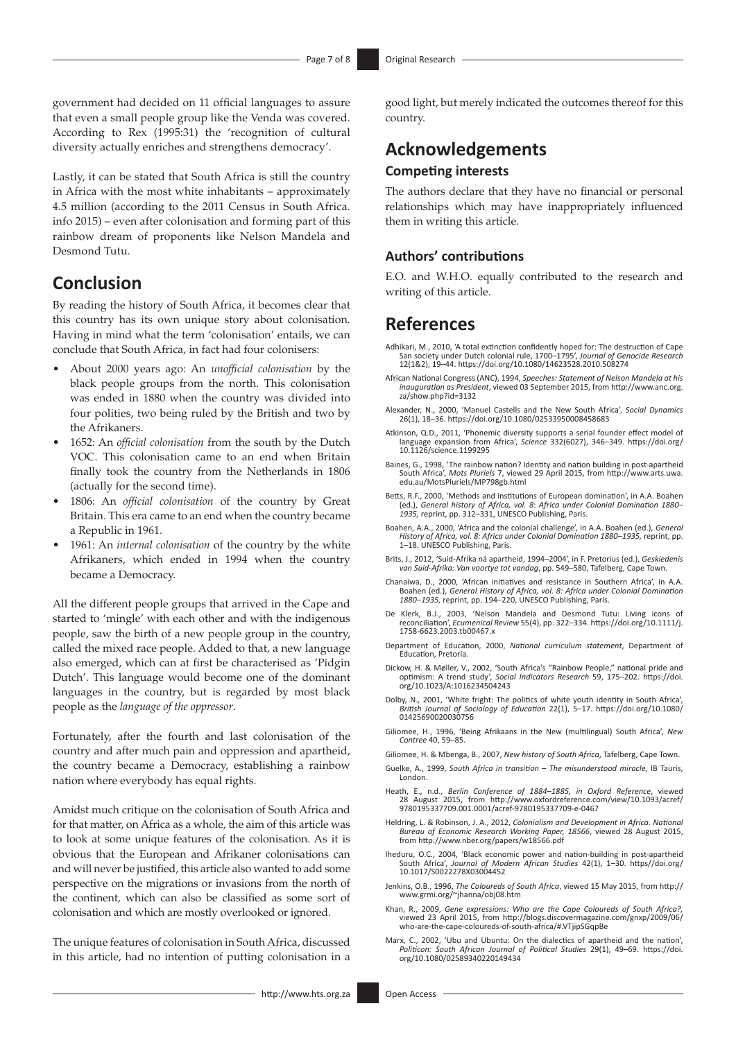government had decided on 11 official languages to assure that even a small people group like the Venda was covered. According to Rex (1995:31) the 'recognition of cultural diversity actually enriches and strengthens democracy'.

Lastly, it can be stated that South Africa is still the country in Africa with the most white inhabitants – approximately 4.5 million (according to the 2011 Census in South Africa. info 2015) – even after colonisation and forming part of this rainbow dream of proponents like Nelson Mandela and Desmond Tutu.

## **Conclusion**

By reading the history of South Africa, it becomes clear that this country has its own unique story about colonisation. Having in mind what the term 'colonisation' entails, we can conclude that South Africa, in fact had four colonisers:

- About 2000 years ago: An *unofficial colonisation* by the black people groups from the north. This colonisation was ended in 1880 when the country was divided into four polities, two being ruled by the British and two by the Afrikaners.
- 1652: An *official colonisation* from the south by the Dutch VOC. This colonisation came to an end when Britain finally took the country from the Netherlands in 1806 (actually for the second time).
- 1806: An *official colonisation* of the country by Great Britain. This era came to an end when the country became a Republic in 1961.
- 1961: An *internal colonisation* of the country by the white Afrikaners, which ended in 1994 when the country became a Democracy.

All the different people groups that arrived in the Cape and started to 'mingle' with each other and with the indigenous people, saw the birth of a new people group in the country, called the mixed race people. Added to that, a new language also emerged, which can at first be characterised as 'Pidgin Dutch'. This language would become one of the dominant languages in the country, but is regarded by most black people as the *language of the oppressor*.

Fortunately, after the fourth and last colonisation of the country and after much pain and oppression and apartheid, the country became a Democracy, establishing a rainbow nation where everybody has equal rights.

Amidst much critique on the colonisation of South Africa and for that matter, on Africa as a whole, the aim of this article was to look at some unique features of the colonisation. As it is obvious that the European and Afrikaner colonisations can and will never be justified, this article also wanted to add some perspective on the migrations or invasions from the north of the continent, which can also be classified as some sort of colonisation and which are mostly overlooked or ignored.

The unique features of colonisation in South Africa, discussed in this article, had no intention of putting colonisation in a

good light, but merely indicated the outcomes thereof for this country.

# **Acknowledgements**

### **Competing interests**

The authors declare that they have no financial or personal relationships which may have inappropriately influenced them in writing this article.

### **Authors' contributions**

E.O. and W.H.O. equally contributed to the research and writing of this article.

### **References**

- Adhikari, M., 2010, 'A total extinction confidently hoped for: The destruction of Cape San society under Dutch colonial rule, 1700–1795', *Journal of Genocide Research* 12(1&2), 19–44. <https://doi.org/10.1080/14623528.2010.508274>
- African National Congress (ANC), 1994, *Speeches: Statement of Nelson Mandela at his inauguration as President*, viewed 03 September 2015, from [http://www.anc.org.](http://www.anc.org.za/show.php?id=3132) [za/show.php?id=3132](http://www.anc.org.za/show.php?id=3132)
- Alexander, N., 2000, 'Manuel Castells and the New South Africa', *Social Dynamics* 26(1), 18–36.<https://doi.org/10.1080/02533950008458683>
- Atkinson, Q.D., 2011, 'Phonemic diversity supports a serial founder effect model of language expansion from Africa', *Science* 332(6027), 346–349. [https://doi.org/](https://doi.org/10.1126/science.1199295) [10.1126/science.1199295](https://doi.org/10.1126/science.1199295)
- Baines, G., 1998, 'The rainbow nation? Identity and nation building in post-apartheid South Africa', *Mots Pluriels* 7, viewed 29 April 2015, from [http://www.arts.uwa.](http://www.arts.uwa.edu.au/MotsPluriels/MP798gb.html) [edu.au/MotsPluriels/MP798gb.html](http://www.arts.uwa.edu.au/MotsPluriels/MP798gb.html)
- Betts, R.F., 2000, 'Methods and institutions of European domination', in A.A. Boahen (ed.), *General history of Africa, vol. 8*: *Africa under Colonial Domination 1880– 1935,* reprint, pp. 312–331, UNESCO Publishing, Paris.
- Boahen, A.A., 2000, 'Africa and the colonial challenge', in A.A. Boahen (ed.), *General History of Africa, vol. 8: Africa under Colonial Domination 1880–1935,* reprint, pp. 1–18. UNESCO Publishing, Paris.
- Brits, J., 2012, 'Suid-Afrika ná apartheid, 1994–2004', in F. Pretorius (ed.), *Geskiedenis van Suid-Afrika: Van voortye tot vandag*, pp. 549–580, Tafelberg, Cape Town.
- Chanaiwa, D., 2000, 'African initiatives and resistance in Southern Africa', in A.A. Boahen (ed.), *General History of Africa, vol. 8: Africa under Colonial Domination 1880–1935,* reprint, pp. 194–220, UNESCO Publishing, Paris.
- De Klerk, B.J., 2003, 'Nelson Mandela and Desmond Tutu: Living icons of reconciliation', *Ecumenical Review* 55(4), pp. 322–334. [https://doi.org/10.1111/j.](https://doi.org/10.1111/j.1758-6623.2003.tb00467.x) [1758-6623.2003.tb00467.x](https://doi.org/10.1111/j.1758-6623.2003.tb00467.x)
- Department of Education, 2000, *National curriculum statement*, Department of Education, Pretoria.
- Dickow, H. & Møller, V., 2002, 'South Africa's "Rainbow People," national pride and optimism: A trend study', *Social Indicators Research* 59, 175–202. [https://doi.](https://doi.org/10.1023/A:1016234504243) [org/10.1023/A:1016234504243](https://doi.org/10.1023/A:1016234504243)
- Dolby, N., 2001, 'White fright: The politics of white youth identity in South Africa', *British Journal of Sociology of Education* 22(1), 5–17. [https://doi.org/10.1080/](https://doi.org/10.1080/01425690020030756) [01425690020030756](https://doi.org/10.1080/01425690020030756)
- Giliomee, H., 1996, 'Being Afrikaans in the New (multilingual) South Africa', *New Contree* 40, 59–85.
- Giliomee, H. & Mbenga, B., 2007, *New history of South Africa*, Tafelberg, Cape Town.
- Guelke, A., 1999, *South Africa in transition The misunderstood miracle*, IB Tauris, London.
- Heath, E., n.d., *Berlin Conference of 1884–1885, in Oxford Reference*, viewed 28 August 2015, from [http://www.oxfordreference.com/view/10.1093/acref/](http://www.oxfordreference.com/view/10.1093/acref/9780195337709.001.0001/acref-9780195337709-e-0467) [9780195337709.001.0001/acref-9780195337709-e-0467](http://www.oxfordreference.com/view/10.1093/acref/9780195337709.001.0001/acref-9780195337709-e-0467)
- Heldring, L. & Robinson, J. A., 2012, *Colonialism and Development in Africa. National Bureau of Economic Research Working Paper, 18566*, viewed 28 August 2015, from<http://www.nber.org/papers/w18566.pdf>
- Iheduru, O.C., 2004, 'Black economic power and nation-building in post-apartheid South Africa', *Journal of Modern African Studies* 42(1), 1–30. [https//doi.org/](https//doi.org/10.1017/S0022278X03004452) [10.1017/S0022278X03004452](https//doi.org/10.1017/S0022278X03004452)
- Jenkins, O.B., 1996, *The Coloureds of South Africa*, viewed 15 May 2015, from [http://](http://www.grmi.org/~jhanna/obj08.htm) [www.grmi.org/~jhanna/obj08.htm](http://www.grmi.org/~jhanna/obj08.htm)
- Khan, R., 2009, *Gene expressions: Who are the Cape Coloureds of South Africa?,* viewed 23 April 2015, from [http://blogs.discovermagazine.com/gnxp/2009/06/](http://blogs.discovermagazine.com/gnxp/2009/06/who-are-the-cape-coloureds-of-south-africa/#.VTjipSGqpBe) [who-are-the-cape-coloureds-of-south-africa/#.VTjipSGqpBe](http://blogs.discovermagazine.com/gnxp/2009/06/who-are-the-cape-coloureds-of-south-africa/#.VTjipSGqpBe)
- Marx, C., 2002, 'Ubu and Ubuntu: On the dialectics of apartheid and the nation',<br> *Politicon: South African Journal of Political Studies* 29(1), 49–69. [https://doi.](https://doi.org/10.1080/02589340220149434)<br> [org/10.1080/02589340220149434](https://doi.org/10.1080/02589340220149434)